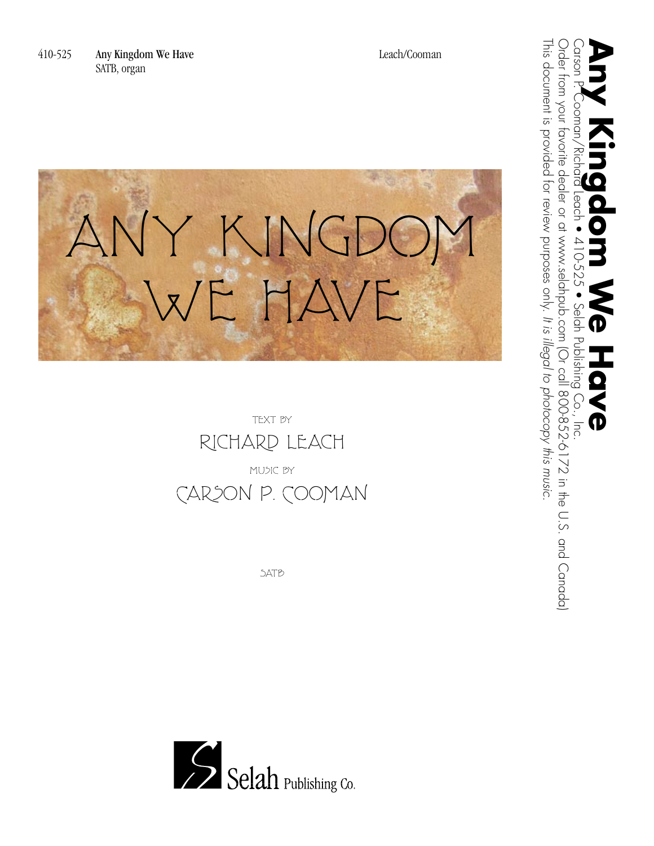



**SATB** 

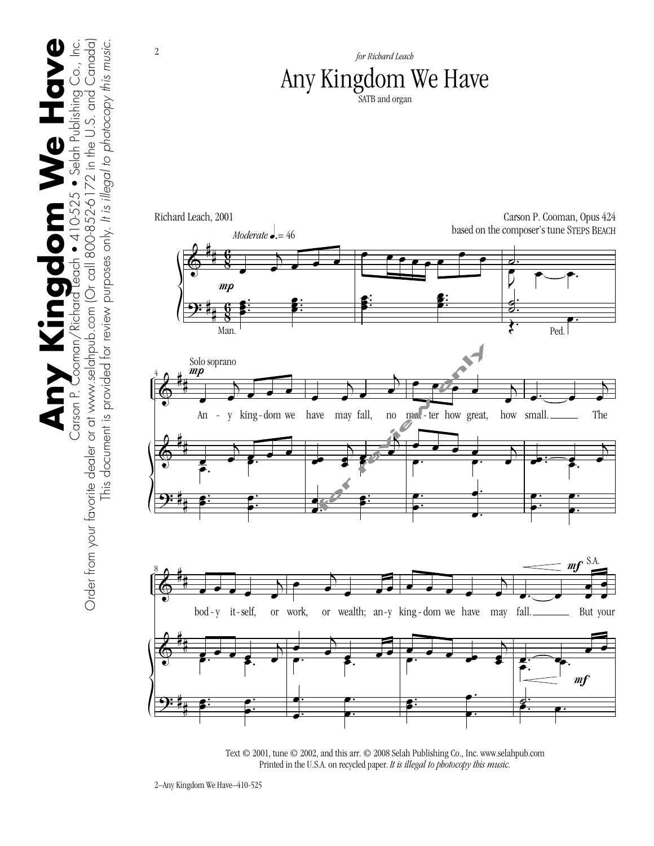

Text © 2001, tune © 2002, and this arr. © 2008 Selah Publishing Co., Inc. www.selahpub.com Printed in the U.S.A. on recycled paper. *It is illegal to photocopy this music.*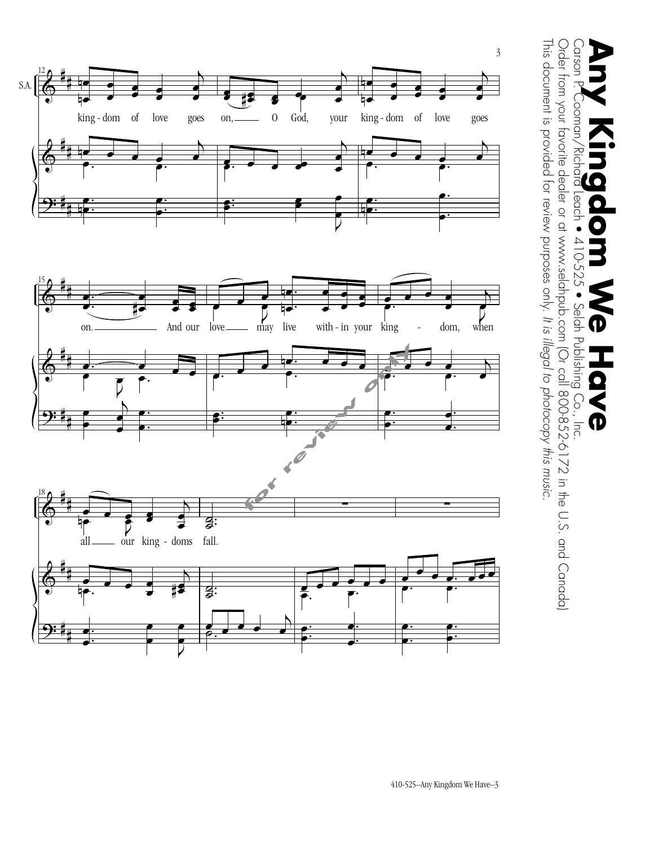

This document is provided for review purposes only.

This document is provided for review purposes only. It is illegal to photocopy this music.

*It is illegal to photocopy this music.*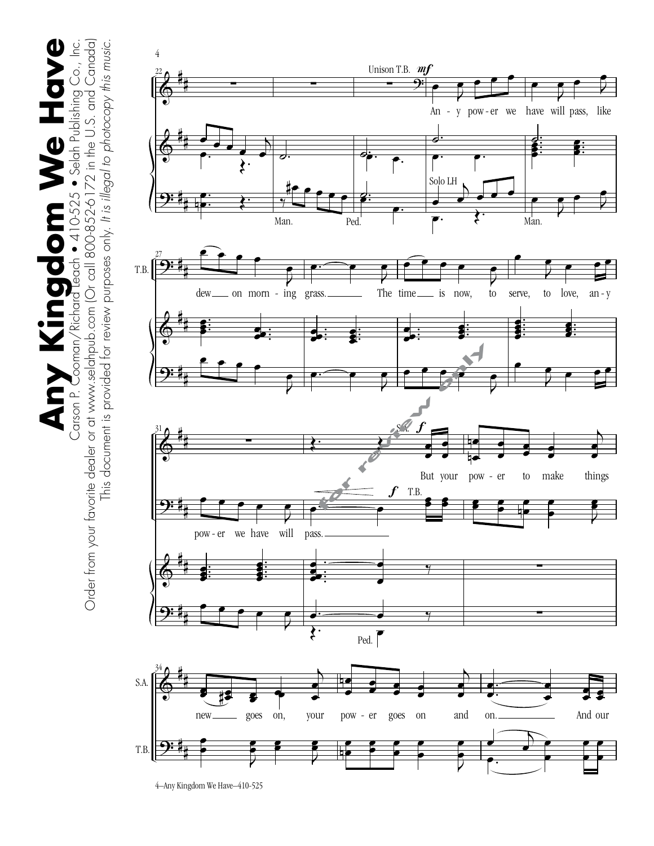$\sum_{\text{Order from your favorite dealer or at www.selchnpub.com (Or cell 800-852-6172 in the U.S. and Canada)}\prod_{\text{Order of the other}}\prod_{\text{Coul}}\prod_{\text{Coul}}$ **Any Kingdom We Have** Order from your favorite dealer or at www.selahpub.com (Or call 800-852-6172 in the U.S. and Canada) This document is provided for review purposes only. It is illegal to photocopy this music. This document is provided for review purposes only. *It is illegal to photocopy this music.*





<sup>4–</sup>Any Kingdom We Have–410-525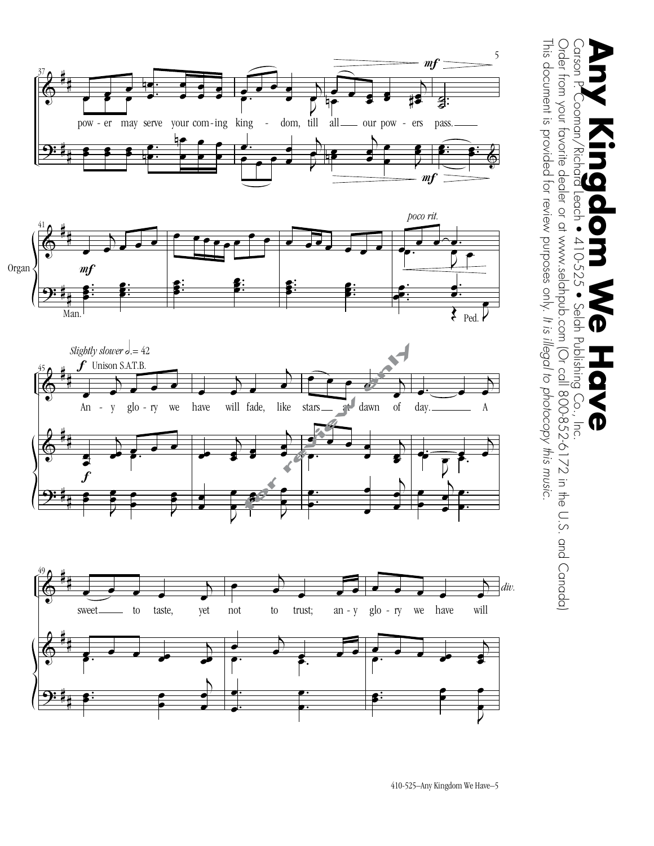









This document is provided for review purposes only.

This document is provided for review purposes only. It is illegal to photocopy this music.

*It is illegal to photocopy this music.*